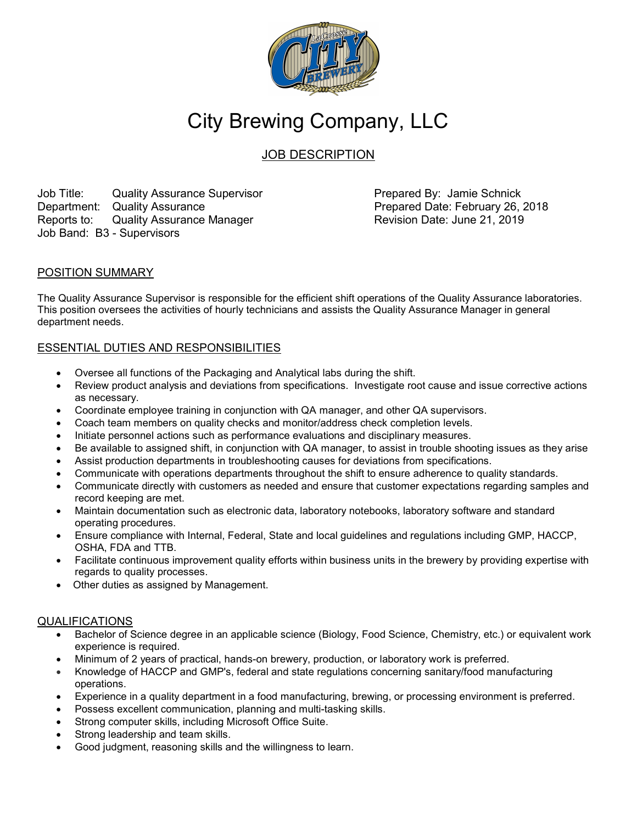

# City Brewing Company, LLC

JOB DESCRIPTION

Job Title: Cuality Assurance Supervisor **Prepared By: Jamie Schnick** Department: Quality Assurance **Prepared Date: February 26, 2018** Reports to: Quality Assurance Manager **Revision Date: June 21, 2019** Job Band: B3 - Supervisors

## POSITION SUMMARY

The Quality Assurance Supervisor is responsible for the efficient shift operations of the Quality Assurance laboratories. This position oversees the activities of hourly technicians and assists the Quality Assurance Manager in general department needs.

## ESSENTIAL DUTIES AND RESPONSIBILITIES

- Oversee all functions of the Packaging and Analytical labs during the shift.
- Review product analysis and deviations from specifications. Investigate root cause and issue corrective actions as necessary.
- Coordinate employee training in conjunction with QA manager, and other QA supervisors.
- Coach team members on quality checks and monitor/address check completion levels.
- Initiate personnel actions such as performance evaluations and disciplinary measures.
- Be available to assigned shift, in conjunction with QA manager, to assist in trouble shooting issues as they arise
- Assist production departments in troubleshooting causes for deviations from specifications.
- Communicate with operations departments throughout the shift to ensure adherence to quality standards.
- Communicate directly with customers as needed and ensure that customer expectations regarding samples and record keeping are met.
- Maintain documentation such as electronic data, laboratory notebooks, laboratory software and standard operating procedures.
- Ensure compliance with Internal, Federal, State and local guidelines and regulations including GMP, HACCP, OSHA, FDA and TTB.
- Facilitate continuous improvement quality efforts within business units in the brewery by providing expertise with regards to quality processes.
- Other duties as assigned by Management.

### QUALIFICATIONS

- Bachelor of Science degree in an applicable science (Biology, Food Science, Chemistry, etc.) or equivalent work experience is required.
- Minimum of 2 years of practical, hands-on brewery, production, or laboratory work is preferred.
- Knowledge of HACCP and GMP's, federal and state regulations concerning sanitary/food manufacturing operations.
- Experience in a quality department in a food manufacturing, brewing, or processing environment is preferred.
- Possess excellent communication, planning and multi-tasking skills.
- Strong computer skills, including Microsoft Office Suite.
- Strong leadership and team skills.
- Good judgment, reasoning skills and the willingness to learn.